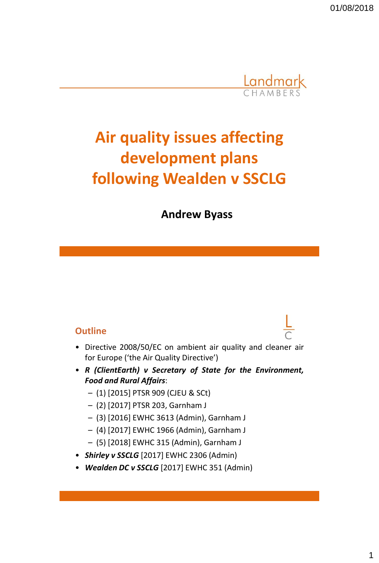

# **Air quality issues affecting development plans following Wealden v SSCLG**

**Andrew Byass**

#### **Outline**

- Directive 2008/50/EC on ambient air quality and cleaner air for Europe ('the Air Quality Directive')
- *R (ClientEarth) v Secretary of State for the Environment, Food and Rural Affairs*:
	- (1) [2015] PTSR 909 (CJEU & SCt)
	- (2) [2017] PTSR 203, Garnham J
	- (3) [2016] EWHC 3613 (Admin), Garnham J
	- (4) [2017] EWHC 1966 (Admin), Garnham J
	- (5) [2018] EWHC 315 (Admin), Garnham J
- *Shirley v SSCLG* [2017] EWHC 2306 (Admin)
- *Wealden DC v SSCLG* [2017] EWHC 351 (Admin)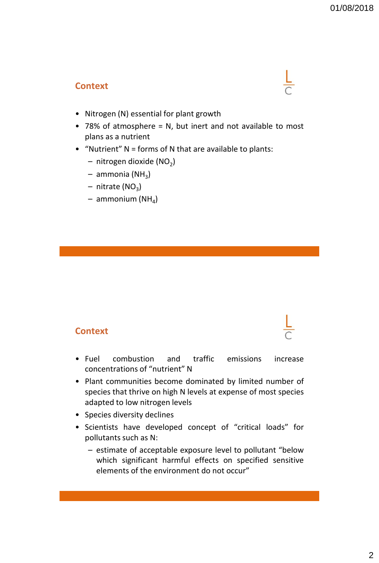#### **Context**

- Nitrogen (N) essential for plant growth
- 78% of atmosphere = N, but inert and not available to most plans as a nutrient
- "Nutrient" N = forms of N that are available to plants:
	- $-$  nitrogen dioxide (NO<sub>2</sub>)
	- ammonia (NH<sub>3</sub>)
	- nitrate (NO<sub>3</sub>)
	- ammonium (NH<sub>4</sub>)

#### **Context**

- Fuel combustion and traffic emissions increase concentrations of "nutrient" N
- Plant communities become dominated by limited number of species that thrive on high N levels at expense of most species adapted to low nitrogen levels
- Species diversity declines
- Scientists have developed concept of "critical loads" for pollutants such as N:
	- estimate of acceptable exposure level to pollutant "below which significant harmful effects on specified sensitive elements of the environment do not occur"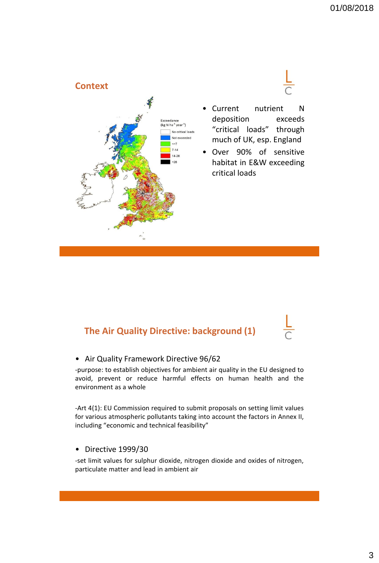

### **The Air Quality Directive: background (1)**

#### • Air Quality Framework Directive 96/62

-purpose: to establish objectives for ambient air quality in the EU designed to avoid, prevent or reduce harmful effects on human health and the environment as a whole

-Art 4(1): EU Commission required to submit proposals on setting limit values for various atmospheric pollutants taking into account the factors in Annex II, including "economic and technical feasibility"

#### • Directive 1999/30

-set limit values for sulphur dioxide, nitrogen dioxide and oxides of nitrogen, particulate matter and lead in ambient air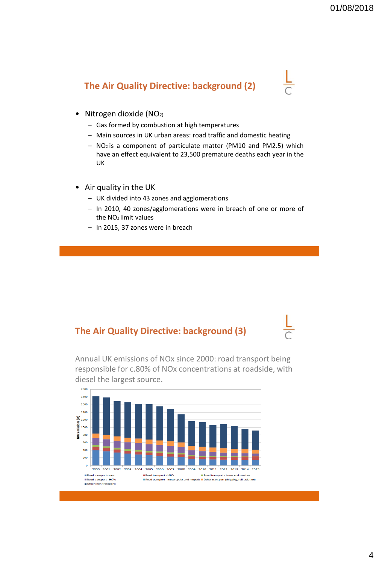### **The Air Quality Directive: background (2)**

- Nitrogen dioxide (NO<sub>2)</sub>
	- Gas formed by combustion at high temperatures
	- Main sources in UK urban areas: road traffic and domestic heating
	- NO<sup>2</sup> is a component of particulate matter (PM10 and PM2.5) which have an effect equivalent to 23,500 premature deaths each year in the UK
- Air quality in the UK
	- UK divided into 43 zones and agglomerations
	- In 2010, 40 zones/agglomerations were in breach of one or more of the NO<sup>2</sup> limit values
	- In 2015, 37 zones were in breach

#### **The Air Quality Directive: background (3)**

Annual UK emissions of NOx since 2000: road transport being responsible for c.80% of NOx concentrations at roadside, with diesel the largest source.

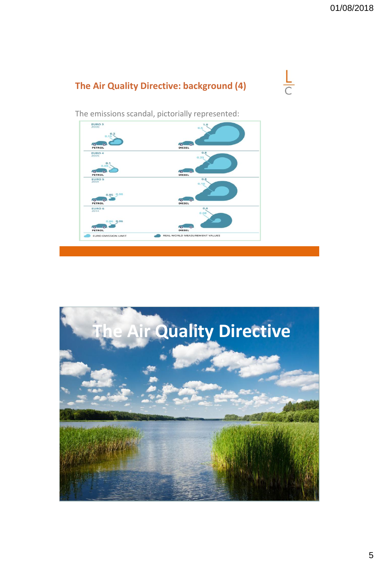



The emissions scandal, pictorially represented:



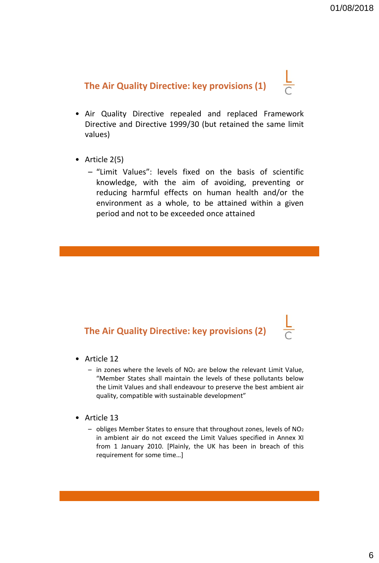# **The Air Quality Directive: key provisions (1)**

- Air Quality Directive repealed and replaced Framework Directive and Directive 1999/30 (but retained the same limit values)
- Article 2(5)
	- "Limit Values": levels fixed on the basis of scientific knowledge, with the aim of avoiding, preventing or reducing harmful effects on human health and/or the environment as a whole, to be attained within a given period and not to be exceeded once attained

#### **The Air Quality Directive: key provisions (2)**

- Article 12
	- $-$  in zones where the levels of NO<sub>2</sub> are below the relevant Limit Value, "Member States shall maintain the levels of these pollutants below the Limit Values and shall endeavour to preserve the best ambient air quality, compatible with sustainable development"
- Article 13
	- obliges Member States to ensure that throughout zones, levels of NO<sup>2</sup> in ambient air do not exceed the Limit Values specified in Annex XI from 1 January 2010. [Plainly, the UK has been in breach of this requirement for some time…]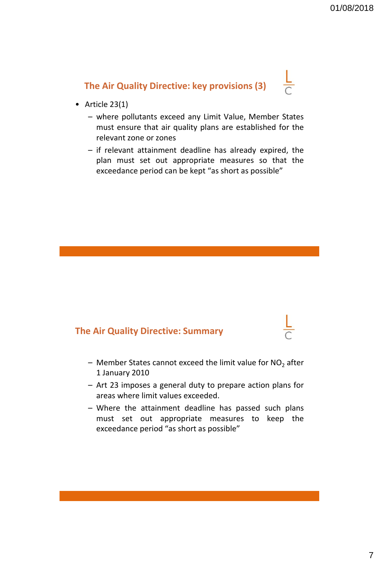# **The Air Quality Directive: key provisions (3)**

- Article 23(1)
	- where pollutants exceed any Limit Value, Member States must ensure that air quality plans are established for the relevant zone or zones
	- if relevant attainment deadline has already expired, the plan must set out appropriate measures so that the exceedance period can be kept "as short as possible"

#### **The Air Quality Directive: Summary**

- $-$  Member States cannot exceed the limit value for NO<sub>2</sub> after 1 January 2010
- Art 23 imposes a general duty to prepare action plans for areas where limit values exceeded.
- Where the attainment deadline has passed such plans must set out appropriate measures to keep the exceedance period "as short as possible"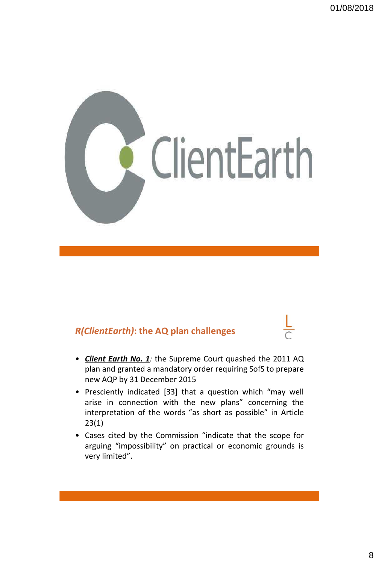

### *R(ClientEarth)***: the AQ plan challenges**

- *Client Earth No. 1:* the Supreme Court quashed the 2011 AQ plan and granted a mandatory order requiring SofS to prepare new AQP by 31 December 2015
- Presciently indicated [33] that a question which "may well arise in connection with the new plans" concerning the interpretation of the words "as short as possible" in Article 23(1)
- Cases cited by the Commission "indicate that the scope for arguing "impossibility" on practical or economic grounds is very limited".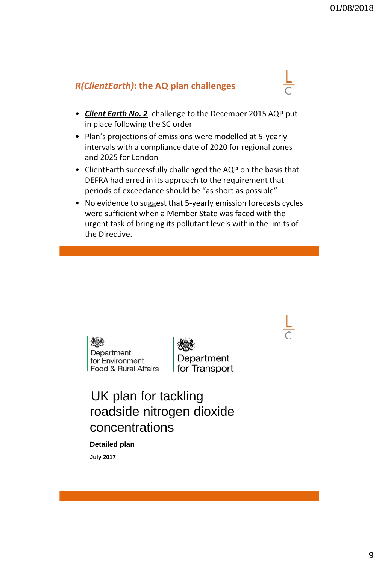#### *R(ClientEarth)***: the AQ plan challenges**

- *Client Earth No. 2*: challenge to the December 2015 AQP put in place following the SC order
- Plan's projections of emissions were modelled at 5-yearly intervals with a compliance date of 2020 for regional zones and 2025 for London
- ClientEarth successfully challenged the AQP on the basis that DEFRA had erred in its approach to the requirement that periods of exceedance should be "as short as possible"
- No evidence to suggest that 5-yearly emission forecasts cycles were sufficient when a Member State was faced with the urgent task of bringing its pollutant levels within the limits of the Directive.

ZO. Department for Environment Food & Rural Affairs

Department for Transport

UK plan for tackling roadside nitrogen dioxide concentrations

## **Detailed plan**

**July 2017**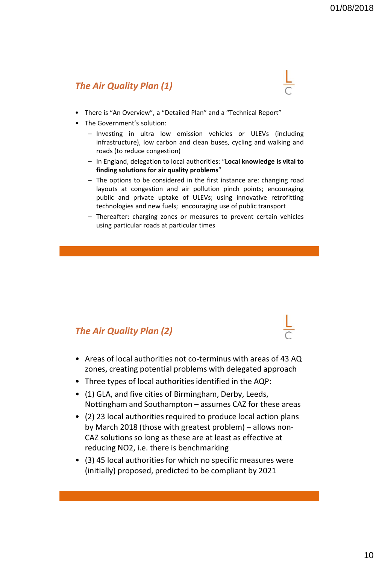#### *The Air Quality Plan (1)*

- There is "An Overview", a "Detailed Plan" and a "Technical Report"
- The Government's solution:
	- Investing in ultra low emission vehicles or ULEVs (including infrastructure), low carbon and clean buses, cycling and walking and roads (to reduce congestion)
	- In England, delegation to local authorities: "**Local knowledge is vital to finding solutions for air quality problems**"
	- The options to be considered in the first instance are: changing road layouts at congestion and air pollution pinch points; encouraging public and private uptake of ULEVs; using innovative retrofitting technologies and new fuels; encouraging use of public transport
	- Thereafter: charging zones or measures to prevent certain vehicles using particular roads at particular times

#### *The Air Quality Plan (2)*

- Areas of local authorities not co-terminus with areas of 43 AQ zones, creating potential problems with delegated approach
- Three types of local authorities identified in the AQP:
- (1) GLA, and five cities of Birmingham, Derby, Leeds, Nottingham and Southampton – assumes CAZ for these areas
- (2) 23 local authorities required to produce local action plans by March 2018 (those with greatest problem) – allows non-CAZ solutions so long as these are at least as effective at reducing NO2, i.e. there is benchmarking
- (3) 45 local authorities for which no specific measures were (initially) proposed, predicted to be compliant by 2021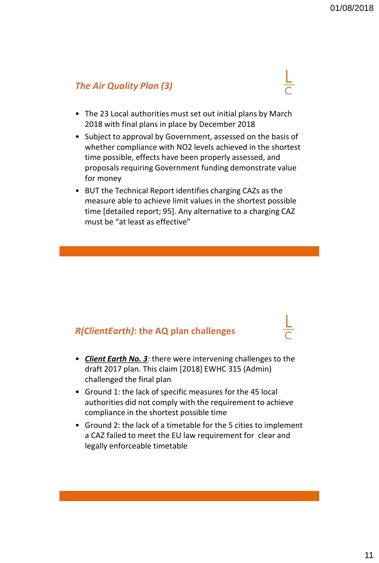#### *The Air Quality Plan (3)*

- The 23 Local authorities must set out initial plans by March 2018 with final plans in place by December 2018
- Subject to approval by Government, assessed on the basis of whether compliance with NO2 levels achieved in the shortest time possible, effects have been properly assessed, and proposals requiring Government funding demonstrate value for money
- BUT the Technical Report identifies charging CAZs as the measure able to achieve limit values in the shortest possible time [detailed report; 95]. Any alternative to a charging CAZ must be "at least as effective"

#### *R(ClientEarth)***: the AQ plan challenges**

- *Client Earth No. 3:* there were intervening challenges to the draft 2017 plan. This claim [2018] EWHC 315 (Admin) challenged the final plan
- Ground 1: the lack of specific measures for the 45 local authorities did not comply with the requirement to achieve compliance in the shortest possible time
- Ground 2: the lack of a timetable for the 5 cities to implement a CAZ failed to meet the EU law requirement for clear and legally enforceable timetable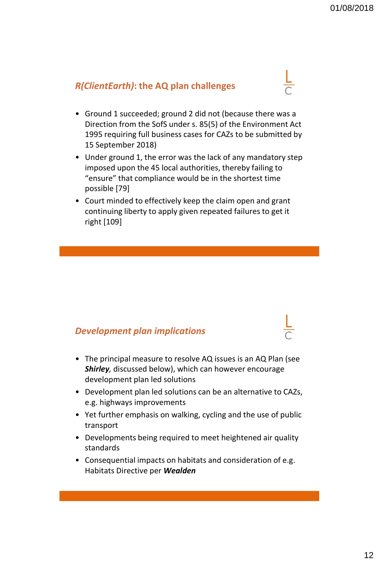#### *R(ClientEarth)***: the AQ plan challenges**

- Ground 1 succeeded; ground 2 did not (because there was a Direction from the SofS under s. 85(5) of the Environment Act 1995 requiring full business cases for CAZs to be submitted by 15 September 2018)
- Under ground 1, the error was the lack of any mandatory step imposed upon the 45 local authorities, thereby failing to "ensure" that compliance would be in the shortest time possible [79]
- Court minded to effectively keep the claim open and grant continuing liberty to apply given repeated failures to get it right [109]

#### *Development plan implications*

- The principal measure to resolve AQ issues is an AQ Plan (see *Shirley,* discussed below), which can however encourage development plan led solutions
- Development plan led solutions can be an alternative to CAZs, e.g. highways improvements
- Yet further emphasis on walking, cycling and the use of public transport
- Developments being required to meet heightened air quality standards
- Consequential impacts on habitats and consideration of e.g. Habitats Directive per *Wealden*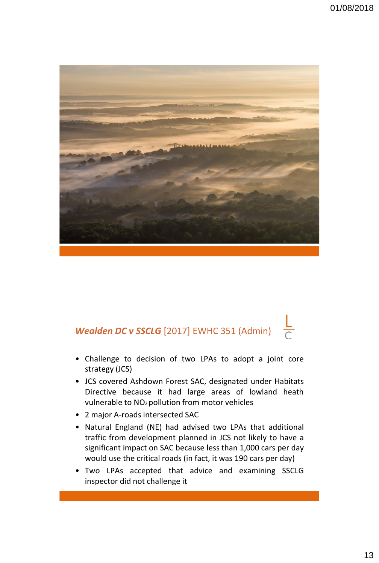

# *Wealden DC v SSCLG* [2017] EWHC 351 (Admin)

• Challenge to decision of two LPAs to adopt a joint core strategy (JCS)

 $\frac{L}{C}$ 

- JCS covered Ashdown Forest SAC, designated under Habitats Directive because it had large areas of lowland heath vulnerable to NO2pollution from motor vehicles
- 2 major A-roads intersected SAC
- Natural England (NE) had advised two LPAs that additional traffic from development planned in JCS not likely to have a significant impact on SAC because less than 1,000 cars per day would use the critical roads (in fact, it was 190 cars per day)
- Two LPAs accepted that advice and examining SSCLG inspector did not challenge it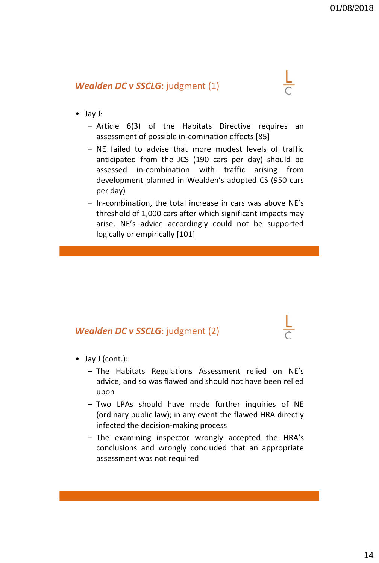#### *Wealden DC v SSCLG*: judgment (1)

- Jay J:
	- Article 6(3) of the Habitats Directive requires an assessment of possible in-comination effects [85]
	- NE failed to advise that more modest levels of traffic anticipated from the JCS (190 cars per day) should be assessed in-combination with traffic arising from development planned in Wealden's adopted CS (950 cars per day)
	- In-combination, the total increase in cars was above NE's threshold of 1,000 cars after which significant impacts may arise. NE's advice accordingly could not be supported logically or empirically [101]

#### *Wealden DC v SSCLG*: judgment (2)

- Jay J (cont.):
	- The Habitats Regulations Assessment relied on NE's advice, and so was flawed and should not have been relied upon
	- Two LPAs should have made further inquiries of NE (ordinary public law); in any event the flawed HRA directly infected the decision-making process
	- The examining inspector wrongly accepted the HRA's conclusions and wrongly concluded that an appropriate assessment was not required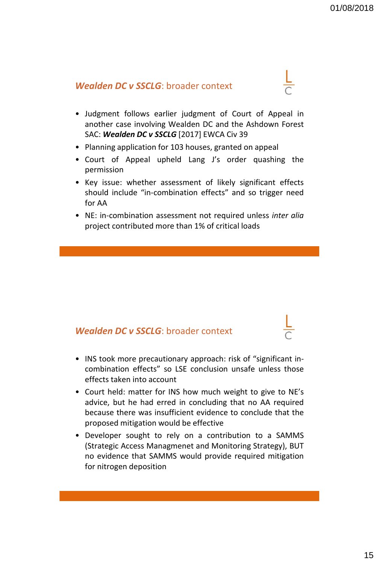#### *Wealden DC v SSCLG*: broader context

- Judgment follows earlier judgment of Court of Appeal in another case involving Wealden DC and the Ashdown Forest SAC: *Wealden DC v SSCLG* [2017] EWCA Civ 39
- Planning application for 103 houses, granted on appeal
- Court of Appeal upheld Lang J's order quashing the permission
- Key issue: whether assessment of likely significant effects should include "in-combination effects" and so trigger need for AA
- NE: in-combination assessment not required unless *inter alia* project contributed more than 1% of critical loads

#### *Wealden DC v SSCLG*: broader context

- INS took more precautionary approach: risk of "significant incombination effects" so LSE conclusion unsafe unless those effects taken into account
- Court held: matter for INS how much weight to give to NE's advice, but he had erred in concluding that no AA required because there was insufficient evidence to conclude that the proposed mitigation would be effective
- Developer sought to rely on a contribution to a SAMMS (Strategic Access Managmenet and Monitoring Strategy), BUT no evidence that SAMMS would provide required mitigation for nitrogen deposition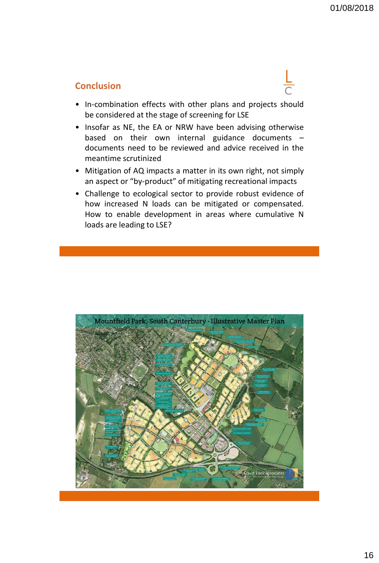#### **Conclusion**



- In-combination effects with other plans and projects should be considered at the stage of screening for LSE
- Insofar as NE, the EA or NRW have been advising otherwise based on their own internal guidance documents – documents need to be reviewed and advice received in the meantime scrutinized
- Mitigation of AQ impacts a matter in its own right, not simply an aspect or "by-product" of mitigating recreational impacts
- Challenge to ecological sector to provide robust evidence of how increased N loads can be mitigated or compensated. How to enable development in areas where cumulative N loads are leading to LSE?

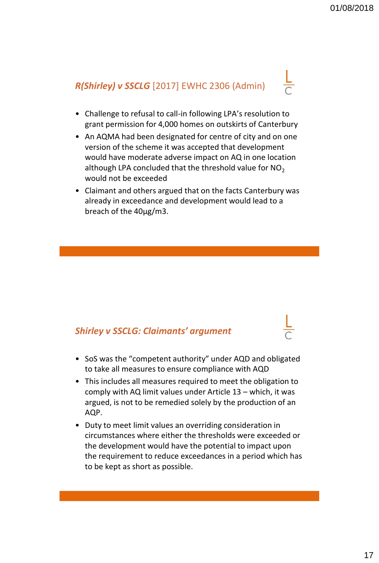# *R(Shirley) v SSCLG* [2017] EWHC 2306 (Admin)

- Challenge to refusal to call-in following LPA's resolution to grant permission for 4,000 homes on outskirts of Canterbury
- An AQMA had been designated for centre of city and on one version of the scheme it was accepted that development would have moderate adverse impact on AQ in one location although LPA concluded that the threshold value for  $NO<sub>2</sub>$ would not be exceeded
- Claimant and others argued that on the facts Canterbury was already in exceedance and development would lead to a breach of the 40μg/m3.

### *Shirley v SSCLG: Claimants' argument*

- SoS was the "competent authority" under AQD and obligated to take all measures to ensure compliance with AQD
- This includes all measures required to meet the obligation to comply with AQ limit values under Article 13 – which, it was argued, is not to be remedied solely by the production of an AQP.
- Duty to meet limit values an overriding consideration in circumstances where either the thresholds were exceeded or the development would have the potential to impact upon the requirement to reduce exceedances in a period which has to be kept as short as possible.